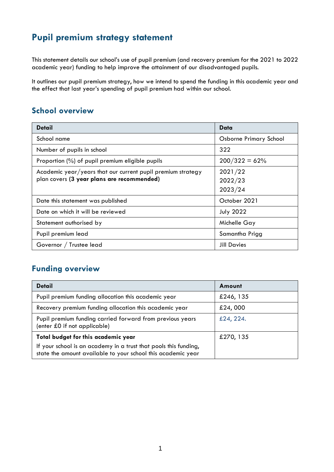# **Pupil premium strategy statement**

This statement details our school's use of pupil premium (and recovery premium for the 2021 to 2022 academic year) funding to help improve the attainment of our disadvantaged pupils.

It outlines our pupil premium strategy, how we intend to spend the funding in this academic year and the effect that last year's spending of pupil premium had within our school.

## **School overview**

| Detail                                                      | Data                   |
|-------------------------------------------------------------|------------------------|
| School name                                                 | Osborne Primary School |
| Number of pupils in school                                  | 322                    |
| Proportion (%) of pupil premium eligible pupils             | $200/322 = 62%$        |
| Academic year/years that our current pupil premium strategy | 2021/22                |
| plan covers (3 year plans are recommended)                  | 2022/23                |
|                                                             | 2023/24                |
| Date this statement was published                           | October 2021           |
| Date on which it will be reviewed                           | <b>July 2022</b>       |
| Statement authorised by                                     | Michelle Gay           |
| Pupil premium lead                                          | Samantha Prigg         |
| Governor / Trustee lead                                     | <b>Jill Davies</b>     |

## **Funding overview**

| <b>Detail</b>                                                                                                                                                           | Amount    |
|-------------------------------------------------------------------------------------------------------------------------------------------------------------------------|-----------|
| Pupil premium funding allocation this academic year                                                                                                                     | £246, 135 |
| Recovery premium funding allocation this academic year                                                                                                                  | £24,000   |
| Pupil premium funding carried forward from previous years<br>(enter £0 if not applicable)                                                                               | £24, 224. |
| Total budget for this academic year<br>If your school is an academy in a trust that pools this funding,<br>state the amount available to your school this academic year | £270, 135 |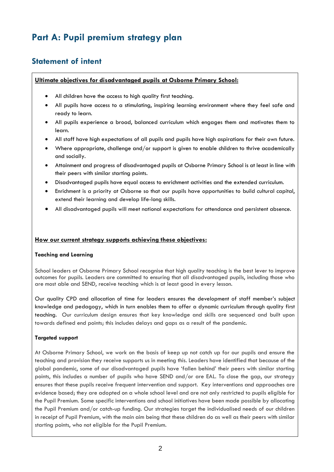# **Part A: Pupil premium strategy plan**

### **Statement of intent**

#### **Ultimate objectives for disadvantaged pupils at Osborne Primary School:**

- All children have the access to high quality first teaching.
- All pupils have access to a stimulating, inspiring learning environment where they feel safe and ready to learn.
- All pupils experience a broad, balanced curriculum which engages them and motivates them to learn.
- All staff have high expectations of all pupils and pupils have high aspirations for their own future.
- Where appropriate, challenge and/or support is given to enable children to thrive academically and socially.
- Attainment and progress of disadvantaged pupils at Osborne Primary School is at least in line with their peers with similar starting points.
- Disadvantaged pupils have equal access to enrichment activities and the extended curriculum.
- Enrichment is a priority at Osborne so that our pupils have opportunities to build cultural capital, extend their learning and develop life-long skills.
- All disadvantaged pupils will meet national expectations for attendance and persistent absence.

#### **How our current strategy supports achieving these objectives:**

#### **Teaching and Learning**

School leaders at Osborne Primary School recognise that high quality teaching is the best lever to improve outcomes for pupils. Leaders are committed to ensuring that all disadvantaged pupils, including those who are most able and SEND, receive teaching which is at least good in every lesson.

Our quality CPD and allocation of time for leaders ensures the development of staff member's subject knowledge and pedagogy, which in turn enables them to offer a dynamic curriculum through quality first teaching. Our curriculum design ensures that key knowledge and skills are sequenced and built upon towards defined end points; this includes delays and gaps as a result of the pandemic.

#### **Targeted support**

At Osborne Primary School, we work on the basis of keep up not catch up for our pupils and ensure the teaching and provision they receive supports us in meeting this. Leaders have identified that because of the global pandemic, some of our disadvantaged pupils have 'fallen behind' their peers with similar starting points, this includes a number of pupils who have SEND and/or are EAL. To close the gap, our strategy ensures that these pupils receive frequent intervention and support. Key interventions and approaches are evidence based; they are adopted on a whole school level and are not only restricted to pupils eligible for the Pupil Premium. Some specific interventions and school initiatives have been made possible by allocating the Pupil Premium and/or catch-up funding. Our strategies target the individualised needs of our children in receipt of Pupil Premium, with the main aim being that these children do as well as their peers with similar starting points, who not eligible for the Pupil Premium.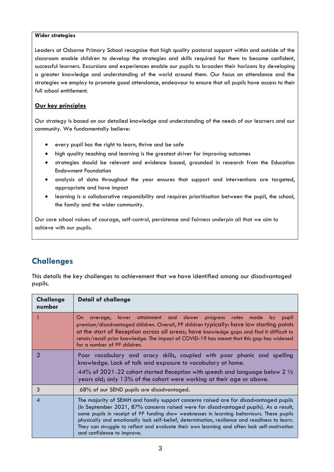#### **Wider strategies**

Leaders at Osborne Primary School recognise that high quality pastoral support within and outside of the classroom enable children to develop the strategies and skills required for them to become confident, successful learners. Excursions and experiences enable our pupils to broaden their horizons by developing a greater knowledge and understanding of the world around them. Our focus on attendance and the strategies we employ to promote good attendance, endeavour to ensure that all pupils have access to their full school entitlement.

#### **Our key principles**

Our strategy is based on our detailed knowledge and understanding of the needs of our learners and our community. We fundamentally believe:

- every pupil has the right to learn, thrive and be safe
- high quality teaching and learning is the greatest driver for improving outcomes
- strategies should be relevant and evidence based, grounded in research from the Education Endowment Foundation
- analysis of data throughout the year ensures that support and interventions are targeted, appropriate and have impact
- learning is a collaborative responsibility and requires prioritisation between the pupil, the school, the family and the wider community.

Our core school values of courage, self-control, persistence and fairness underpin all that we aim to achieve with our pupils.

### **Challenges**

This details the key challenges to achievement that we have identified among our disadvantaged pupils.

| <b>Challenge</b><br>number | <b>Detail of challenge</b>                                                                                                                                                                                                                                                                                                                                                                                                                                                                               |
|----------------------------|----------------------------------------------------------------------------------------------------------------------------------------------------------------------------------------------------------------------------------------------------------------------------------------------------------------------------------------------------------------------------------------------------------------------------------------------------------------------------------------------------------|
|                            | average, lower attainment and slower progress rates<br>made by<br>On.<br>pupil<br>premium/disadvantaged children. Overall, PP children typically: have low starting points<br>at the start of Reception across all areas; have knowledge gaps and find it difficult to<br>retain/recall prior knowledge. The impact of COVID-19 has meant that this gap has widened<br>for a number of PP children.                                                                                                      |
| 2                          | Poor vocabulary and oracy skills, coupled with poor phonic and spelling<br>knowledge. Lack of talk and exposure to vocabulary at home.<br>44% of 2021-22 cohort started Reception with speech and language below 2 1/2<br>years old; only 13% of the cohort were working at their age or above.                                                                                                                                                                                                          |
| 3                          | 68% of our SEND pupils are disadvantaged.                                                                                                                                                                                                                                                                                                                                                                                                                                                                |
| 4                          | The majority of SEMH and family support concerns raised are for disadvantaged pupils<br>(In September 2021, 87% concerns raised were for disadvantaged pupils). As a result,<br>some pupils in receipt of PP funding show weaknesses in learning behaviours. These pupils<br>physically and emotionally lack self-belief, determination, resilience and readiness to learn.<br>They can struggle to reflect and evaluate their own learning and often lack self-motivation<br>and confidence to improve. |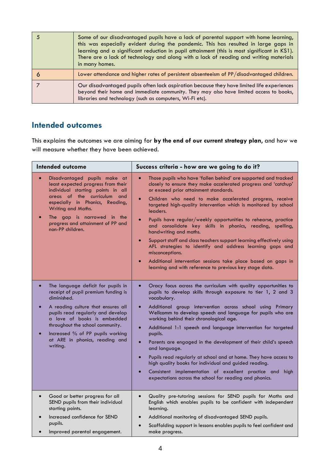| Some of our disadvantaged pupils have a lack of parental support with home learning,<br>this was especially evident during the pandemic. This has resulted in large gaps in<br>learning and a significant reduction in pupil attainment (this is most significant in KS1).<br>There are a lack of technology and along with a lack of reading and writing materials<br>in many homes. |
|---------------------------------------------------------------------------------------------------------------------------------------------------------------------------------------------------------------------------------------------------------------------------------------------------------------------------------------------------------------------------------------|
| Lower attendance and higher rates of persistent absenteeism of PP/disadvantaged children.                                                                                                                                                                                                                                                                                             |
| Our disadvantaged pupils often lack aspiration because they have limited life experiences<br>beyond their home and immediate community. They may also have limited access to books,<br>libraries and technology (such as computers, Wi-Fi etc).                                                                                                                                       |

#### **Intended outcomes**

This explains the outcomes we are aiming for **by the end of our current strategy plan**, and how we will measure whether they have been achieved.

| <b>Intended outcome</b>                                                                                                                                                                                                                                                                                                                                         | Success criteria - how are we going to do it?                                                                                                                                                                                                                                                                                                                                                                                                                                                                                                                                                                                                                                                                                                                                                                                   |  |
|-----------------------------------------------------------------------------------------------------------------------------------------------------------------------------------------------------------------------------------------------------------------------------------------------------------------------------------------------------------------|---------------------------------------------------------------------------------------------------------------------------------------------------------------------------------------------------------------------------------------------------------------------------------------------------------------------------------------------------------------------------------------------------------------------------------------------------------------------------------------------------------------------------------------------------------------------------------------------------------------------------------------------------------------------------------------------------------------------------------------------------------------------------------------------------------------------------------|--|
| Disadvantaged pupils make at<br>$\bullet$<br>least expected progress from their<br>individual starting points in all<br>areas of the curriculum and<br>especially in Phonics, Reading,<br>Writing and Maths.<br>The gap is narrowed in the<br>progress and attainment of PP and<br>non-PP children.                                                             | Those pupils who have 'fallen behind' are supported and tracked<br>$\bullet$<br>closely to ensure they make accelerated progress and 'catchup'<br>or exceed prior attainment standards.<br>Children who need to make accelerated progress, receive<br>$\bullet$<br>targeted high-quality intervention which is monitored by school<br>leaders.<br>Pupils have regular/weekly opportunities to rehearse, practice<br>$\bullet$<br>and consolidate key skills in phonics, reading, spelling,<br>handwriting and maths.<br>Support staff and class teachers support learning effectively using<br>$\bullet$<br>AFL strategies to identify and address learning gaps and<br>misconceptions.<br>Additional intervention sessions take place based on gaps in<br>$\bullet$<br>learning and with reference to previous key stage data. |  |
| The language deficit for pupils in<br>$\bullet$<br>receipt of pupil premium funding is<br>diminished.<br>A reading culture that ensures all<br>$\bullet$<br>pupils read regularly and develop<br>a love of books is embedded<br>throughout the school community.<br>Increased % of PP pupils working<br>$\bullet$<br>at ARE in phonics, reading and<br>writing. | Oracy focus across the curriculum with quality opportunities to<br>$\bullet$<br>pupils to develop skills through exposure to tier 1, 2 and 3<br>vocabulary.<br>Additional group intervention across school using Primary<br>$\bullet$<br>Wellcomm to develop speech and language for pupils who are<br>working behind their chronological age.<br>Additional 1:1 speech and language intervention for targeted<br>$\bullet$<br>pupils.<br>Parents are engaged in the development of their child's speech<br>$\bullet$<br>and language.<br>Pupils read regularly at school and at home. They have access to<br>$\bullet$<br>high quality books for individual and guided reading.<br>Consistent implementation of excellent practice and<br>high<br>$\bullet$<br>expectations across the school for reading and phonics.         |  |
| Good or better progress for all<br>$\bullet$<br>SEND pupils from their individual<br>starting points.<br>Increased confidence for SEND<br>$\bullet$<br>pupils.<br>Improved parental engagement.<br>$\bullet$                                                                                                                                                    | Quality pre-tutoring sessions for SEND pupils for Maths and<br>$\bullet$<br>English which enables pupils to be confident with independent<br>learning.<br>Additional monitoring of disadvantaged SEND pupils.<br>Scaffolding support in lessons enables pupils to feel confident and<br>$\bullet$<br>make progress.                                                                                                                                                                                                                                                                                                                                                                                                                                                                                                             |  |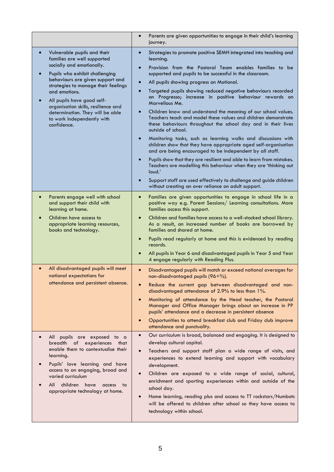|                                                                                                                                                                                                                                                                                                                                                                                          | Parents are given opportunities to engage in their child's learning<br>$\bullet$<br>journey.                                                                                                                                                                                                                                                                                                                                                                                                                                                                                                                                                                                                                                                                                                                                                                                                                                                                                                                                                                                   |
|------------------------------------------------------------------------------------------------------------------------------------------------------------------------------------------------------------------------------------------------------------------------------------------------------------------------------------------------------------------------------------------|--------------------------------------------------------------------------------------------------------------------------------------------------------------------------------------------------------------------------------------------------------------------------------------------------------------------------------------------------------------------------------------------------------------------------------------------------------------------------------------------------------------------------------------------------------------------------------------------------------------------------------------------------------------------------------------------------------------------------------------------------------------------------------------------------------------------------------------------------------------------------------------------------------------------------------------------------------------------------------------------------------------------------------------------------------------------------------|
| Vulnerable pupils and their<br>families are well supported<br>socially and emotionally.<br>Pupils who exhibit challenging<br>behaviours are given support and<br>strategies to manage their feelings<br>and emotions.<br>All pupils have good self-<br>$\bullet$<br>organisation skills, resilience and<br>determination. They will be able<br>to work independently with<br>confidence. | Strategies to promote positive SEMH integrated into teaching and<br>$\bullet$<br>learning.<br>Provision from the Pastoral Team enables families to be<br>$\bullet$<br>supported and pupils to be successful in the classroom.<br>All pupils showing progress on Motional.<br>Targeted pupils showing reduced negative behaviours recorded<br>on Progresso; increase in positive behaviour rewards on<br>Marvellous Me.<br>Children know and understand the meaning of our school values.<br>Teachers teach and model these values and children demonstrate<br>these behaviours throughout the school day and in their lives<br>outside of school.<br>Monitoring tasks, such as learning walks and discussions with<br>children show that they have appropriate aged self-organisation<br>and are being encouraged to be independent by all staff.<br>Pupils show that they are resilient and able to learn from mistakes.<br>Teachers are modelling this behaviour when they are 'thinking out<br>loud.'<br>Support staff are used effectively to challenge and guide children |
|                                                                                                                                                                                                                                                                                                                                                                                          | without creating an over reliance on adult support.                                                                                                                                                                                                                                                                                                                                                                                                                                                                                                                                                                                                                                                                                                                                                                                                                                                                                                                                                                                                                            |
| Parents engage well with school<br>and support their child with<br>learning at home.                                                                                                                                                                                                                                                                                                     | Families are given opportunities to engage in school life in a<br>$\bullet$<br>positive way e.g. Parent Sessions/ Learning consultations. More<br>families access this support.                                                                                                                                                                                                                                                                                                                                                                                                                                                                                                                                                                                                                                                                                                                                                                                                                                                                                                |
| Children have access to<br>appropriate learning resources,<br>books and technology.                                                                                                                                                                                                                                                                                                      | Children and families have access to a well-stocked school library.<br>$\bullet$<br>As a result, an increased number of books are borrowed by<br>families and shared at home.<br>Pupils read regularly at home and this is evidenced by reading<br>records.<br>All pupils in Year 6 and disadvantaged pupils in Year 5 and Year<br>4 engage regularly with Reading Plus.                                                                                                                                                                                                                                                                                                                                                                                                                                                                                                                                                                                                                                                                                                       |
| All disadvantaged pupils will meet<br>$\bullet$<br>national expectations for<br>attendance and persistent absence.                                                                                                                                                                                                                                                                       | Disadvantaged pupils will match or exceed national averages for<br>$\bullet$<br>non-disadvantaged pupils (96+%).<br>Reduce the current gap between disadvantaged and non-<br>disadvantaged attendance of 2.9% to less than 1%.<br>Monitoring of attendance by the Head teacher, the Pastoral<br>Manager and Office Manager brings about an increase in PP<br>pupils' attendance and a decrease in persistent absence<br>Opportunities to attend breakfast club and Friday club improve<br>attendance and punctuality.                                                                                                                                                                                                                                                                                                                                                                                                                                                                                                                                                          |
| All pupils are exposed to a<br>breadth of experiences that<br>enable them to contextualise their<br>learning.<br>Pupils' love learning and have<br>access to an engaging, broad and<br>varied curriculum<br>children<br>All<br>have<br>access<br>to<br>appropriate technology at home.                                                                                                   | Our curriculum is broad, balanced and engaging. It is designed to<br>$\bullet$<br>develop cultural capital.<br>Teachers and support staff plan a wide range of visits, and<br>$\bullet$<br>experiences to extend learning and support with vocabulary<br>development.<br>Children are exposed to a wide range of social, cultural,<br>$\bullet$<br>enrichment and sporting experiences within and outside of the<br>school day.<br>Home learning, reading plus and access to TT rockstars/Numbots<br>$\bullet$<br>will be offered to children after school so they have access to<br>technology within school.                                                                                                                                                                                                                                                                                                                                                                                                                                                                 |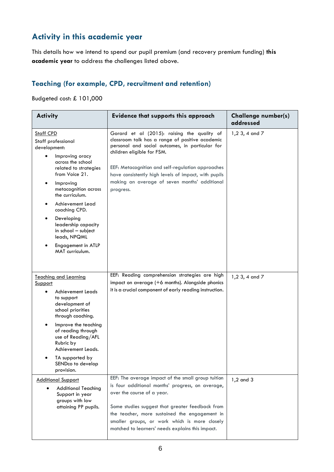# **Activity in this academic year**

This details how we intend to spend our pupil premium (and recovery premium funding) **this academic year** to address the challenges listed above.

#### **Teaching (for example, CPD, recruitment and retention)**

Budgeted cost: £ 101,000

| <b>Activity</b><br><b>Evidence that supports this approach</b>                                                                                                                                                                                                                                                                                                   |                                                                                                                                                                                                                                                                                                                                                            | <b>Challenge number(s)</b><br>addressed |
|------------------------------------------------------------------------------------------------------------------------------------------------------------------------------------------------------------------------------------------------------------------------------------------------------------------------------------------------------------------|------------------------------------------------------------------------------------------------------------------------------------------------------------------------------------------------------------------------------------------------------------------------------------------------------------------------------------------------------------|-----------------------------------------|
| <b>Staff CPD</b><br>Staff professional<br>development:<br>Improving oracy<br>across the school<br>related to strategies<br>from Voice 21.<br>Improving<br>٠<br>metacognition across<br>the curriculum.<br>Achievement Lead<br>coaching CPD.<br>Developing<br>leadership capacity<br>in school - subject<br>leads, NPQML<br>Engagement in ATLP<br>MAT curriculum. | Gorard et al (2015): raising the quality of<br>classroom talk has a range of positive academic<br>personal and social outcomes, in particular for<br>children eligible for FSM.<br>EEF: Metacognition and self-regulation approaches<br>have consistently high levels of impact, with pupils<br>making an average of seven months' additional<br>progress. | 1,2 3, 4 and 7                          |
| <b>Teaching and Learning</b><br><b>Support</b><br>Achievement Leads<br>to support<br>development of<br>school priorities<br>through coaching.<br>Improve the teaching<br>٠<br>of reading through<br>use of Reading/AFL<br>Rubric by<br>Achievement Leads.<br>TA supported by<br>SENDco to develop<br>provision.                                                  | EEF: Reading comprehension strategies are high<br>impact on average (+6 months). Alongside phonics<br>it is a crucial component of early reading instruction.                                                                                                                                                                                              | 1,2 3, 4 and 7                          |
| <b>Additional Support</b><br><b>Additional Teaching</b><br>Support in year<br>groups with low<br>attaining PP pupils.                                                                                                                                                                                                                                            | EEF: The average impact of the small group tuition<br>is four additional months' progress, on average,<br>over the course of a year.<br>Some studies suggest that greater feedback from<br>the teacher, more sustained the engagement in<br>smaller groups, or work which is more closely<br>matched to learners' needs explains this impact.              | $1,2$ and $3$                           |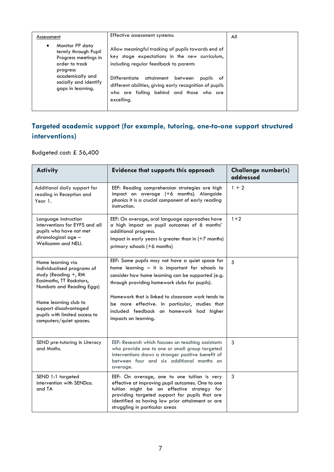|                                                                                                                                                                                                                                                                                                                                                                                                                                                                              | Assessment           | Effective assessment systems: | All |
|------------------------------------------------------------------------------------------------------------------------------------------------------------------------------------------------------------------------------------------------------------------------------------------------------------------------------------------------------------------------------------------------------------------------------------------------------------------------------|----------------------|-------------------------------|-----|
| Allow meaningful tracking of pupils towards end of<br>termly through Pupil<br>key stage expectations in the new curriculum,<br>Progress meetings in<br>including regular feedback to parents<br>order to track<br>progress<br>academically and<br>Differentiate<br>attainment<br>between<br>pupils<br>ot.<br>socially and identify<br>different abilities, giving early recognition of pupils<br>gaps in learning.<br>who are falling behind and those who are<br>excelling. | Monitor PP data<br>٠ |                               |     |

## **Targeted academic support (for example, tutoring, one-to-one support structured interventions)**

Budgeted cost: £ 56,400

| <b>Activity</b>                                                                                                                     | <b>Evidence that supports this approach</b>                                                                                                                                                                                                                                            | <b>Challenge number(s)</b><br>addressed |
|-------------------------------------------------------------------------------------------------------------------------------------|----------------------------------------------------------------------------------------------------------------------------------------------------------------------------------------------------------------------------------------------------------------------------------------|-----------------------------------------|
| Additional daily support for<br>reading in Reception and<br>Year 1.                                                                 | EEF: Reading comprehension strategies are high<br>impact on average (+6 months). Alongside<br>phonics it is a crucial component of early reading<br>instruction.                                                                                                                       | $1 + 2$                                 |
| Language instruction<br>interventions for EYFS and all<br>pupils who have not met<br>chronological age -<br>Wellcomm and NELI.      | EEF: On average, oral language approaches have<br>a high impact on pupil outcomes of 6 months'<br>additional progress.<br>Impact in early years is greater than in (+7 months)<br>primary schools $(+6$ months)                                                                        | $1 + 2$                                 |
| Home learning via<br>individualised programs of<br>study (Reading $+$ , RM<br>Easimaths, TT Rockstars,<br>Numbots and Reading Eggs) | EEF: Some pupils may not have a quiet space for<br>home learning $-$ it is important for schools to<br>consider how home learning can be supported (e.g.<br>through providing homework clubs for pupils).                                                                              | 5                                       |
| Home learning club to<br>support disadvantaged<br>pupils with limited access to<br>computers/quiet spaces.                          | Homework that is linked to classroom work tends to<br>be more effective. In particular, studies that<br>included feedback on homework had higher<br>impacts on learning.                                                                                                               |                                         |
| SEND pre-tutoring in Literacy<br>and Maths.                                                                                         | EEF: Research which focuses on teaching assistants<br>who provide one to one or small group targeted<br>interventions shows a stronger positive benefit of<br>between four and six additional months on<br>average.                                                                    | 3                                       |
| SEND 1:1 targeted<br>intervention with SENDco.<br>and TA                                                                            | EEF: On average, one to one tuition is very<br>effective at improving pupil outcomes. One to one<br>tuition might be an effective strategy for<br>providing targeted support for pupils that are<br>identified as having low prior attainment or are<br>struggling in particular areas | 3                                       |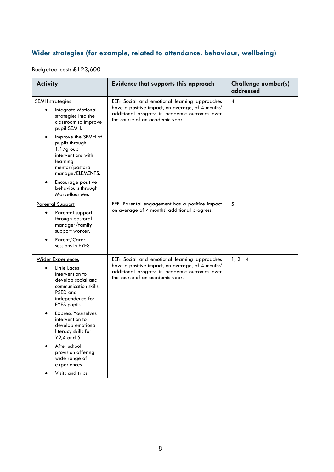### **Wider strategies (for example, related to attendance, behaviour, wellbeing)**

### Budgeted cost: £123,600

| <b>Activity</b>                                                                                                                                                                                                                                                                                            | <b>Evidence that supports this approach</b>                                                                                                                                           | <b>Challenge number(s)</b><br>addressed |
|------------------------------------------------------------------------------------------------------------------------------------------------------------------------------------------------------------------------------------------------------------------------------------------------------------|---------------------------------------------------------------------------------------------------------------------------------------------------------------------------------------|-----------------------------------------|
| <b>SEMH</b> strategies<br>Integrate Motional<br>strategies into the<br>classroom to improve<br>pupil SEMH.<br>Improve the SEMH of<br>pupils through<br>$1:1$ /group<br>interventions with<br>learning<br>mentor/pastoral<br>manage/ELEMENTS.<br>Encourage positive<br>behaviours through<br>Marvellous Me. | EEF: Social and emotional learning approaches<br>have a positive impact, on average, of 4 months'<br>additional progress in academic outcomes over<br>the course of an academic year. | 4                                       |
| <b>Parental Support</b><br>Parental support<br>through pastoral<br>manager/family<br>support worker.<br>Parent/Carer<br>sessions in EYFS.                                                                                                                                                                  | EEF: Parental engagement has a positive impact<br>on average of 4 months' additional progress.                                                                                        | 5                                       |
| <b>Wider Experiences</b><br>Little Laces<br>intervention to<br>develop social and<br>communication skills,<br>PSED and<br>independence for<br>EYFS pupils.<br><b>Express Yourselves</b><br>intervention to<br>develop emotional<br>literacy skills for                                                     | EEF: Social and emotional learning approaches<br>have a positive impact, on average, of 4 months'<br>additional progress in academic outcomes over<br>the course of an academic year. | $1, 2+4$                                |
| Y2,4 and 5.<br>After school<br>provision offering<br>wide range of<br>experiences.<br>Visits and trips                                                                                                                                                                                                     |                                                                                                                                                                                       |                                         |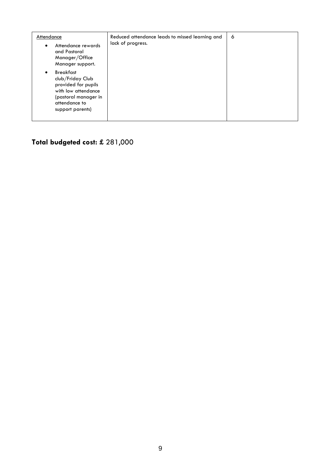| Attendance<br>Attendance rewards<br>and Pastoral<br>Manager/Office<br>Manager support.                                                          | Reduced attendance leads to missed learning and<br>lack of progress. | 6 |
|-------------------------------------------------------------------------------------------------------------------------------------------------|----------------------------------------------------------------------|---|
| <b>Breakfast</b><br>club/Friday Club<br>provided for pupils<br>with low attendance<br>(pastoral manager in<br>attendance to<br>support parents) |                                                                      |   |

# **Total budgeted cost: £** 281,000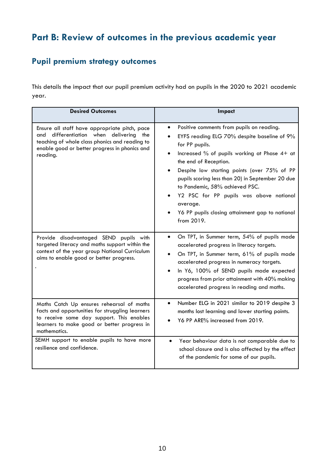# **Part B: Review of outcomes in the previous academic year**

# **Pupil premium strategy outcomes**

This details the impact that our pupil premium activity had on pupils in the 2020 to 2021 academic year.

| <b>Desired Outcomes</b>                                                                                                                                                                                    | <b>Impact</b>                                                                                                                                                                                                                                                                                                                                                                                                                                                                           |
|------------------------------------------------------------------------------------------------------------------------------------------------------------------------------------------------------------|-----------------------------------------------------------------------------------------------------------------------------------------------------------------------------------------------------------------------------------------------------------------------------------------------------------------------------------------------------------------------------------------------------------------------------------------------------------------------------------------|
| Ensure all staff have appropriate pitch, pace<br>differentiation when delivering the<br>and<br>teaching of whole class phonics and reading to<br>enable good or better progress in phonics and<br>reading. | Positive comments from pupils on reading.<br>$\bullet$<br>EYFS reading ELG 70% despite baseline of 9%<br>for PP pupils.<br>Increased % of pupils working at Phase 4+ at<br>$\bullet$<br>the end of Reception.<br>Despite low starting points (over 75% of PP<br>$\bullet$<br>pupils scoring less than 20) in September 20 due<br>to Pandemic, 58% achieved PSC.<br>Y2 PSC for PP pupils was above national<br>average.<br>Y6 PP pupils closing attainment gap to national<br>from 2019. |
| Provide disadvantaged SEND pupils with<br>targeted literacy and maths support within the<br>context of the year group National Curriculum<br>aims to enable good or better progress.                       | On TPT, in Summer term, 54% of pupils made<br>$\bullet$<br>accelerated progress in literacy targets.<br>On TPT, in Summer term, 61% of pupils made<br>$\bullet$<br>accelerated progress in numeracy targets.<br>In Y6, 100% of SEND pupils made expected<br>progress from prior attainment with 40% making<br>accelerated progress in reading and maths.                                                                                                                                |
| Maths Catch Up ensures rehearsal of maths<br>facts and opportunities for struggling learners<br>to receive same day support. This enables<br>learners to make good or better progress in<br>mathematics.   | Number ELG in 2021 similar to 2019 despite 3<br>$\bullet$<br>months lost learning and lower starting points.<br>Y6 PP ARE% increased from 2019.                                                                                                                                                                                                                                                                                                                                         |
| SEMH support to enable pupils to have more<br>resilience and confidence.                                                                                                                                   | Year behaviour data is not comparable due to<br>$\bullet$<br>school closure and is also affected by the effect<br>of the pandemic for some of our pupils.                                                                                                                                                                                                                                                                                                                               |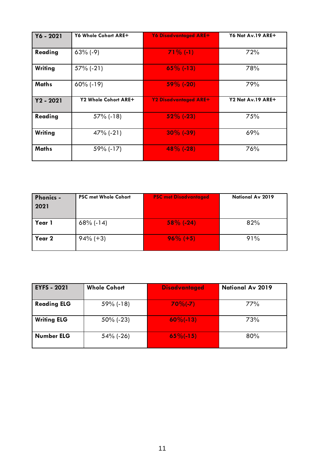| Y6 - 2021    | Y6 Whole Cohort ARE+ | <b>Y6 Disadvantaged ARE+</b> | Y6 Nat Av.19 ARE+ |
|--------------|----------------------|------------------------------|-------------------|
| Reading      | $63\%$ (-9)          | $71\%$ (-1)                  | 72%               |
| Writing      | $57\%$ (-21)         | $65\%$ (-13)                 | 78%               |
| <b>Maths</b> | $60\%$ (-19)         | 59% (-20)                    | 79%               |
| $Y2 - 2021$  | Y2 Whole Cohort ARE+ | <b>Y2 Disadvantaged ARE+</b> | Y2 Nat Av.19 ARE+ |
| Reading      | $57\%$ (-18)         | $52\%$ (-23)                 | 75%               |
| Writing      | $47\%$ (-21)         | $30\%$ (-39)                 | 69%               |
| <b>Maths</b> | 59% (-17)            | $48\%$ (-28)                 | 76%               |

| <b>Phonics -</b><br>2021 | <b>PSC met Whole Cohort</b> | <b>PSC met Disadvantaged</b> | National Av 2019 |
|--------------------------|-----------------------------|------------------------------|------------------|
| Year 1                   | $68\%$ (-14)                | $58\%$ (-24)                 | 82%              |
| Year 2                   | $94\%$ (+3)                 | $96\%$ (+5)                  | 91%              |

| <b>EYFS - 2021</b> | <b>Whole Cohort</b> | <b>Disadvantaged</b>  | <b>National Av 2019</b> |
|--------------------|---------------------|-----------------------|-------------------------|
| <b>Reading ELG</b> | $59\%$ (-18)        | $70%(-7)$             | 77%                     |
| <b>Writing ELG</b> | $50\%$ (-23)        | $60\frac{6}{1}$ (-13) | 73%                     |
| <b>Number ELG</b>  | $54\%$ (-26)        | $65\%(-15)$           | 80%                     |